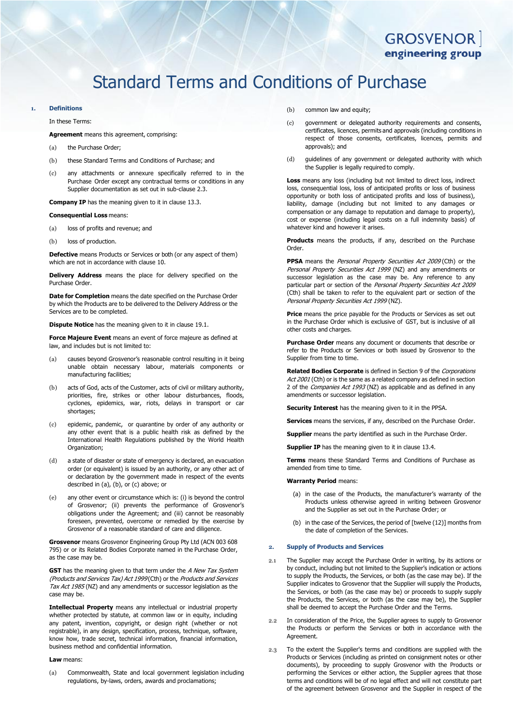# **GROSVENOR** engineering group

# Standard Terms and Conditions of Purchase

# **1. Definitions**

#### In these Terms:

- **Agreement** means this agreement, comprising:
- (a) the Purchase Order;
- (b) these Standard Terms and Conditions of Purchase; and
- (c) any attachments or annexure specifically referred to in the Purchase Order except any contractual terms or conditions in any Supplier documentation as set out in sub-clause [2.3.](#page-0-0)

**Company IP** has the meaning given to it in clause [13.3.](#page-3-0)

#### **Consequential Loss** means:

- (a) loss of profits and revenue; and
- (b) loss of production.

**Defective** means Products or Services or both (or any aspect of them) which are not in accordance with claus[e 10.](#page-2-0)

**Delivery Address** means the place for delivery specified on the Purchase Order.

**Date for Completion** means the date specified on the Purchase Order by which the Products are to be delivered to the Delivery Address or the Services are to be completed.

**Dispute Notice** has the meaning given to it in claus[e 19.1.](#page-4-0)

**Force Majeure Event** means an event of force majeure as defined at law, and includes but is not limited to:

- (a) causes beyond Grosvenor's reasonable control resulting in it being unable obtain necessary labour, materials components or manufacturing facilities;
- (b) acts of God, acts of the Customer, acts of civil or military authority, priorities, fire, strikes or other labour disturbances, floods, cyclones, epidemics, war, riots, delays in transport or car shortages;
- (c) epidemic, pandemic, or quarantine by order of any authority or any other event that is a public health risk as defined by the International Health Regulations published by the World Health Organization;
- (d) a state of disaster or state of emergency is declared, an evacuation order (or equivalent) is issued by an authority, or any other act of or declaration by the government made in respect of the events described in (a), (b), or (c) above; or
- (e) any other event or circumstance which is: (i) is beyond the control of Grosvenor; (ii) prevents the performance of Grosvenor's obligations under the Agreement; and (iii) cannot be reasonably foreseen, prevented, overcome or remedied by the exercise by Grosvenor of a reasonable standard of care and diligence.

**Grosvenor** means Grosvenor Engineering Group Pty Ltd (ACN 003 608 795) or or its Related Bodies Corporate named in the Purchase Order, as the case may be.

**GST** has the meaning given to that term under the A New Tax System (Products and Services Tax) Act 1999 (Cth) or the Products and Services Tax Act 1985 (NZ) and any amendments or successor legislation as the case may be.

**Intellectual Property** means any intellectual or industrial property whether protected by statute, at common law or in equity, including any patent, invention, copyright, or design right (whether or not registrable), in any design, specification, process, technique, software, know how, trade secret, technical information, financial information, business method and confidential information.

#### **Law** means:

(a) Commonwealth, State and local government legislation including regulations, by-laws, orders, awards and proclamations;

- (b) common law and equity:
- (c) government or delegated authority requirements and consents, certificates, licences, permits and approvals (including conditions in respect of those consents, certificates, licences, permits and approvals); and
- (d) guidelines of any government or delegated authority with which the Supplier is legally required to comply.

**Loss** means any loss (including but not limited to direct loss, indirect loss, consequential loss, loss of anticipated profits or loss of business opportunity or both loss of anticipated profits and loss of business), liability, damage (including but not limited to any damages or compensation or any damage to reputation and damage to property), cost or expense (including legal costs on a full indemnity basis) of whatever kind and however it arises.

**Products** means the products, if any, described on the Purchase Order.

**PPSA** means the *Personal Property Securities Act 2009* (Cth) or the Personal Property Securities Act 1999 (NZ) and any amendments or successor legislation as the case may be. Any reference to any particular part or section of the Personal Property Securities Act 2009 (Cth) shall be taken to refer to the equivalent part or section of the Personal Property Securities Act 1999 (NZ).

**Price** means the price payable for the Products or Services as set out in the Purchase Order which is exclusive of GST, but is inclusive of all other costs and charges.

**Purchase Order** means any document or documents that describe or refer to the Products or Services or both issued by Grosvenor to the Supplier from time to time.

**Related Bodies Corporate** is defined in Section 9 of the Corporations Act 2001 (Cth) or is the same as a related company as defined in section 2 of the *Companies Act 1993* (NZ) as applicable and as defined in any amendments or successor legislation.

**Security Interest** has the meaning given to it in the PPSA.

**Services** means the services, if any, described on the Purchase Order.

**Supplier** means the party identified as such in the Purchase Order.

**Supplier IP** has the meaning given to it in clause [13.4.](#page-3-1)

**Terms** means these Standard Terms and Conditions of Purchase as amended from time to time.

#### **Warranty Period** means:

- (a) in the case of the Products, the manufacturer's warranty of the Products unless otherwise agreed in writing between Grosvenor and the Supplier as set out in the Purchase Order; or
- (b) in the case of the Services, the period of [twelve (12)] months from the date of completion of the Services.

#### **2. Supply of Products and Services**

- 2.1 The Supplier may accept the Purchase Order in writing, by its actions or by conduct, including but not limited to the Supplier's indication or actions to supply the Products, the Services, or both (as the case may be). If the Supplier indicates to Grosvenor that the Supplier will supply the Products, the Services, or both (as the case may be) or proceeds to supply supply the Products, the Services, or both (as the case may be), the Supplier shall be deemed to accept the Purchase Order and the Terms.
- 2.2 In consideration of the Price, the Supplier agrees to supply to Grosvenor the Products or perform the Services or both in accordance with the Agreement.
- <span id="page-0-0"></span>2.3 To the extent the Supplier's terms and conditions are supplied with the Products or Services (including as printed on consignment notes or other documents), by proceeding to supply Grosvenor with the Products or performing the Services or either action, the Supplier agrees that those terms and conditions will be of no legal effect and will not constitute part of the agreement between Grosvenor and the Supplier in respect of the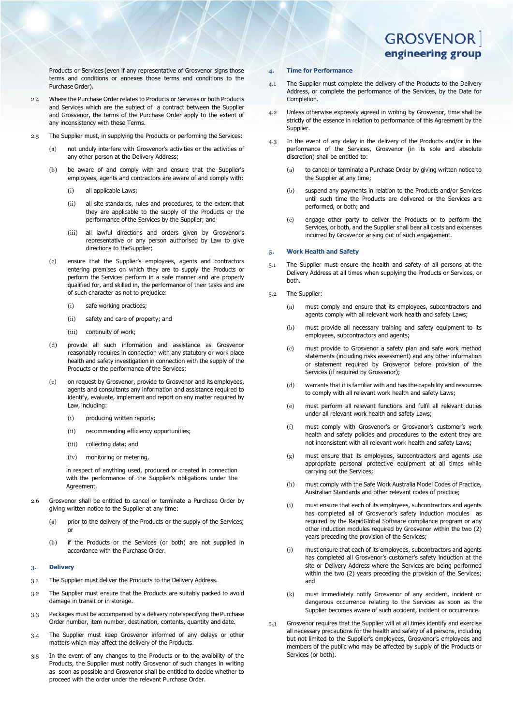**GROSVENOR** engineering group

Products or Services (even if any representative of Grosvenor signs those terms and conditions or annexes those terms and conditions to the Purchase Order).

- 2.4 Where the Purchase Order relates to Products or Services or both Products and Services which are the subject of a contract between the Supplier and Grosvenor, the terms of the Purchase Order apply to the extent of any inconsistency with these Terms.
- 2.5 The Supplier must, in supplying the Products or performing the Services:
	- (a) not unduly interfere with Grosvenor's activities or the activities of any other person at the Delivery Address;
	- (b) be aware of and comply with and ensure that the Supplier's employees, agents and contractors are aware of and comply with:
		- (i) all applicable Laws;
		- (ii) all site standards, rules and procedures, to the extent that they are applicable to the supply of the Products or the performance of the Services by the Supplier; and
		- (iii) all lawful directions and orders given by Grosvenor's representative or any person authorised by Law to give directions to theSupplier;
	- (c) ensure that the Supplier's employees, agents and contractors entering premises on which they are to supply the Products or perform the Services perform in a safe manner and are properly qualified for, and skilled in, the performance of their tasks and are of such character as not to prejudice:
		- (i) safe working practices;
		- (ii) safety and care of property; and
		- (iii) continuity of work;
	- (d) provide all such information and assistance as Grosvenor reasonably requires in connection with any statutory or work place health and safety investigation in connection with the supply of the Products or the performance of the Services;
	- (e) on request by Grosvenor, provide to Grosvenor and its employees, agents and consultants any information and assistance required to identify, evaluate, implement and report on any matter required by Law, including:
		- (i) producing written reports;
		- (ii) recommending efficiency opportunities;
		- (iii) collecting data; and
		- (iv) monitoring or metering,

in respect of anything used, produced or created in connection with the performance of the Supplier's obligations under the Agreement.

- 2.6 Grosvenor shall be entitled to cancel or terminate a Purchase Order by giving written notice to the Supplier at any time:
	- (a) prior to the delivery of the Products or the supply of the Services; or
	- (b) if the Products or the Services (or both) are not supplied in accordance with the Purchase Order.

# <span id="page-1-0"></span>**3. Delivery**

- 3.1 The Supplier must deliver the Products to the Delivery Address.
- 3.2 The Supplier must ensure that the Products are suitably packed to avoid damage in transit or in storage.
- 3.3 Packages must be accompanied by a delivery note specifying the Purchase Order number, item number, destination, contents, quantity and date.
- 3.4 The Supplier must keep Grosvenor informed of any delays or other matters which may affect the delivery of the Products.
- 3.5 In the event of any changes to the Products or to the avaibility of the Products, the Supplier must notify Grosvenor of such changes in writing as soon as possible and Grosvenor shall be entitled to decide whether to proceed with the order under the relevant Purchase Order.

# **4. Time for Performance**

- 4.1 The Supplier must complete the delivery of the Products to the Delivery Address, or complete the performance of the Services, by the Date for Completion.
- 4.2 Unless otherwise expressly agreed in writing by Grosvenor, time shall be strictly of the essence in relation to performance of this Agreement by the Supplier.
- 4.3 In the event of any delay in the delivery of the Products and/or in the performance of the Services, Grosvenor (in its sole and absolute discretion) shall be entitled to:
	- (a) to cancel or terminate a Purchase Order by giving written notice to the Supplier at any time;
	- (b) suspend any payments in relation to the Products and/or Services until such time the Products are delivered or the Services are performed, or both; and
	- (c) engage other party to deliver the Products or to perform the Services, or both, and the Supplier shall bear all costs and expenses incurred by Grosvenor arising out of such engagement.

#### **5. Work Health and Safety**

- 5.1 The Supplier must ensure the health and safety of all persons at the Delivery Address at all times when supplying the Products or Services, or both.
- 5.2 The Supplier:
	- (a) must comply and ensure that its employees, subcontractors and agents comply with all relevant work health and safety Laws;
	- (b) must provide all necessary training and safety equipment to its employees, subcontractors and agents;
	- (c) must provide to Grosvenor a safety plan and safe work method statements (including risks assessment) and any other information or statement required by Grosvenor before provision of the Services (if required by Grosvenor);
	- (d) warrants that it is familiar with and has the capability and resources to comply with all relevant work health and safety Laws;
	- (e) must perform all relevant functions and fulfil all relevant duties under all relevant work health and safety Laws;
	- (f) must comply with Grosvenor's or Grosvenor's customer's work health and safety policies and procedures to the extent they are not inconsistent with all relevant work health and safety Laws;
	- (g) must ensure that its employees, subcontractors and agents use appropriate personal protective equipment at all times while carrying out the Services;
	- (h) must comply with the Safe Work Australia Model Codes of Practice, Australian Standards and other relevant codes of practice;
	- (i) must ensure that each of its employees, subcontractors and agents has completed all of Grosvenor's safety induction modules as required by the RapidGlobal Software compliance program or any other induction modules required by Grosvenor within the two (2) years preceding the provision of the Services;
	- (j) must ensure that each of its employees, subcontractors and agents has completed all Grosvenor's customer's safety induction at the site or Delivery Address where the Services are being performed within the two (2) years preceding the provision of the Services; and
	- (k) must immediately notify Grosvenor of any accident, incident or dangerous occurrence relating to the Services as soon as the Supplier becomes aware of such accident, incident or occurrence.
- 5.3 Grosvenor requires that the Supplier will at all times identify and exercise all necessary precautions for the health and safety of all persons, including but not limited to the Supplier's employees, Grosvenor's employees and members of the public who may be affected by supply of the Products or Services (or both).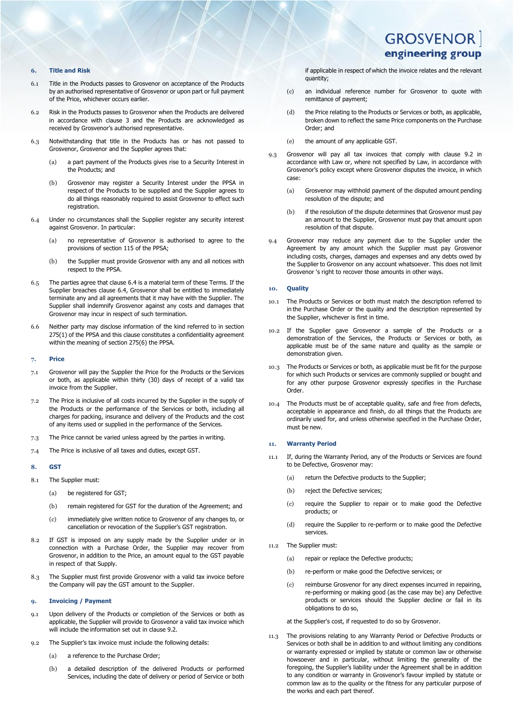# **6. Title and Risk**

- 6.1 Title in the Products passes to Grosvenor on acceptance of the Products by an authorised representative of Grosvenor or upon part or full payment of the Price, whichever occurs earlier.
- 6.2 Risk in the Products passes to Grosvenor when the Products are delivered in accordance with clause [3](#page-1-0) and the Products are acknowledged as received by Grosvenor's authorised representative.
- 6.3 Notwithstanding that title in the Products has or has not passed to Grosvenor, Grosvenor and the Supplier agrees that:
	- (a) a part payment of the Products gives rise to a Security Interest in the Products; and
	- (b) Grosvenor may register a Security Interest under the PPSA in respect of the Products to be supplied and the Supplier agrees to do all things reasonably required to assist Grosvenor to effect such registration
- <span id="page-2-1"></span>6.4 Under no circumstances shall the Supplier register any security interest against Grosvenor. In particular:
	- (a) no representative of Grosvenor is authorised to agree to the provisions of section 115 of the PPSA;
	- (b) the Supplier must provide Grosvenor with any and all notices with respect to the PPSA.
- 6.5 The parties agree that claus[e 6.4](#page-2-1) is a material term of these Terms. If the Supplier breaches clause [6.4,](#page-2-1) Grosvenor shall be entitled to immediately terminate any and all agreements that it may have with the Supplier. The Supplier shall indemnify Grosvenor against any costs and damages that Grosvenor may incur in respect of such termination.
- 6.6 Neither party may disclose information of the kind referred to in section 275(1) of the PPSA and this clause constitutes a confidentiality agreement within the meaning of section 275(6) the PPSA.

#### **7. Price**

- 7.1 Grosvenor will pay the Supplier the Price for the Products or the Services or both, as applicable within thirty (30) days of receipt of a valid tax invoice from the Supplier.
- 7.2 The Price is inclusive of all costs incurred by the Supplier in the supply of the Products or the performance of the Services or both, including all charges for packing, insurance and delivery of the Products and the cost of any items used or supplied in the performance of the Services.
- 7.3 The Price cannot be varied unless agreed by the parties in writing.
- 7.4 The Price is inclusive of all taxes and duties, except GST.

# **8. GST**

- 8.1 The Supplier must:
	- (a) be registered for GST;
	- (b) remain registered for GST for the duration of the Agreement; and
	- (c) immediately give written notice to Grosvenor of any changes to, or cancellation or revocation of the Supplier's GST registration.
- 8.2 If GST is imposed on any supply made by the Supplier under or in connection with a Purchase Order, the Supplier may recover from Grosvenor, in addition to the Price, an amount equal to the GST payable in respect of that Supply.
- 8.3 The Supplier must first provide Grosvenor with a valid tax invoice before the Company will pay the GST amount to the Supplier.

#### **9. Invoicing / Payment**

- 9.1 Upon delivery of the Products or completion of the Services or both as applicable, the Supplier will provide to Grosvenor a valid tax invoice which will include the information set out in clause [9.2.](#page-2-2)
- <span id="page-2-2"></span>9.2 The Supplier's tax invoice must include the following details:
	- (a) a reference to the Purchase Order;
	- (b) a detailed description of the delivered Products or performed Services, including the date of delivery or period of Service or both

if applicable in respect of which the invoice relates and the relevant quantity;

- (c) an individual reference number for Grosvenor to quote with remittance of payment;
- (d) the Price relating to the Products or Services or both, as applicable, broken down to reflect the same Price components on the Purchase Order; and
- (e) the amount of any applicable GST.
- 9.3 Grosvenor will pay all tax invoices that comply with clause [9.2](#page-2-2) in accordance with Law or, where not specified by Law, in accordance with Grosvenor's policy except where Grosvenor disputes the invoice, in which case:
	- (a) Grosvenor may withhold payment of the disputed amount pending resolution of the dispute; and
	- (b) if the resolution of the dispute determines that Grosvenor must pay an amount to the Supplier, Grosvenor must pay that amount upon resolution of that dispute.
- 9.4 Grosvenor may reduce any payment due to the Supplier under the Agreement by any amount which the Supplier must pay Grosvenor including costs, charges, damages and expenses and any debts owed by the Supplier to Grosvenor on any account whatsoever. This does not limit Grosvenor 's right to recover those amounts in other ways.

#### <span id="page-2-0"></span>**10. Quality**

- 10.1 The Products or Services or both must match the description referred to in the Purchase Order or the quality and the description represented by the Supplier, whichever is first in time.
- 10.2 If the Supplier gave Grosvenor a sample of the Products or a demonstration of the Services, the Products or Services or both, as applicable must be of the same nature and quality as the sample or demonstration given.
- 10.3 The Products or Services or both, as applicable must be fit for the purpose for which such Products or services are commonly supplied or bought and for any other purpose Grosvenor expressly specifies in the Purchase Order.
- The Products must be of acceptable quality, safe and free from defects, acceptable in appearance and finish, do all things that the Products are ordinarily used for, and unless otherwise specified in the Purchase Order, must be new.

#### **11. Warranty Period**

- 11.1 If, during the Warranty Period, any of the Products or Services are found to be Defective, Grosvenor may:
	- (a) return the Defective products to the Supplier;
	- (b) reject the Defective services;
	- (c) require the Supplier to repair or to make good the Defective products; or
	- (d) require the Supplier to re-perform or to make good the Defective services.
- 11.2 The Supplier must:
	- (a) repair or replace the Defective products;
	- (b) re-perform or make good the Defective services; or
	- (c) reimburse Grosvenor for any direct expenses incurred in repairing, re-performing or making good (as the case may be) any Defective products or services should the Supplier decline or fail in its obligations to do so,
	- at the Supplier's cost, if requested to do so by Grosvenor.
- The provisions relating to any Warranty Period or Defective Products or Services or both shall be in addition to and without limiting any conditions or warranty expressed or implied by statute or common law or otherwise howsoever and in particular, without limiting the generality of the foregoing, the Supplier's liability under the Agreement shall be in addition to any condition or warranty in Grosvenor's favour implied by statute or common law as to the quality or the fitness for any particular purpose of the works and each part thereof.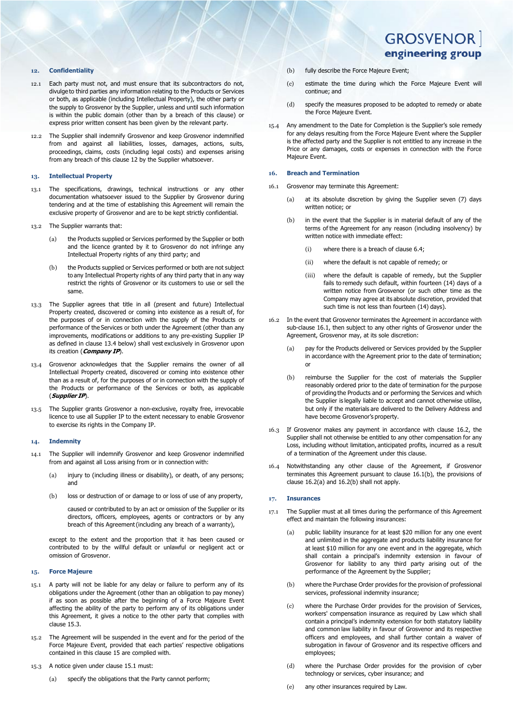#### <span id="page-3-2"></span>**12. Confidentiality**

- 12.1 Each party must not, and must ensure that its subcontractors do not, divulge to third parties any information relating to the Products or Services or both, as applicable (including Intellectual Property), the other party or the supply to Grosvenor by the Supplier, unless and until such information is within the public domain (other than by a breach of this clause) or express prior written consent has been given by the relevant party.
- 12.2 The Supplier shall indemnify Grosvenor and keep Grosvenor indemnified from and against all liabilities, losses, damages, actions, suits, proceedings, claims, costs (including legal costs) and expenses arising from any breach of this clause [12](#page-3-2) by the Supplier whatsoever.

### **13. Intellectual Property**

- 13.1 The specifications, drawings, technical instructions or any other documentation whatsoever issued to the Supplier by Grosvenor during tendering and at the time of establishing this Agreement will remain the exclusive property of Grosvenor and are to be kept strictly confidential.
- 13.2 The Supplier warrants that:
	- (a) the Products supplied or Services performed by the Supplier or both and the licence granted by it to Grosvenor do not infringe any Intellectual Property rights of any third party; and
	- (b) the Products supplied or Services performed or both are not subject to any Intellectual Property rights of any third party that in any way restrict the rights of Grosvenor or its customers to use or sell the same.
- <span id="page-3-0"></span>13.3 The Supplier agrees that title in all (present and future) Intellectual Property created, discovered or coming into existence as a result of, for the purposes of or in connection with the supply of the Products or performance of the Services or both under the Agreement (other than any improvements, modifications or additions to any pre-existing Supplier IP as defined in clause [13.4 below\)](#page-3-1) shall vest exclusively in Grosvenor upon its creation (**Company IP**).
- <span id="page-3-1"></span>13.4 Grosvenor acknowledges that the Supplier remains the owner of all Intellectual Property created, discovered or coming into existence other than as a result of, for the purposes of or in connection with the supply of the Products or performance of the Services or both, as applicable (**Supplier IP**).
- 13.5 The Supplier grants Grosvenor a non-exclusive, royalty free, irrevocable licence to use all Supplier IP to the extent necessary to enable Grosvenor to exercise its rights in the Company IP.

#### **14. Indemnity**

- 14.1 The Supplier will indemnify Grosvenor and keep Grosvenor indemnified from and against all Loss arising from or in connection with:
	- (a) injury to (including illness or disability), or death, of any persons; and
	- (b) loss or destruction of or damage to or loss of use of any property,

caused or contributed to by an act or omission of the Supplier or its directors, officers, employees, agents or contractors or by any breach of this Agreement(including any breach of a warranty),

except to the extent and the proportion that it has been caused or contributed to by the willful default or unlawful or negligent act or omission of Grosvenor.

### <span id="page-3-4"></span>**15. Force Majeure**

- <span id="page-3-5"></span>15.1 A party will not be liable for any delay or failure to perform any of its obligations under the Agreement (other than an obligation to pay money) if as soon as possible after the beginning of a Force Majeure Event affecting the ability of the party to perform any of its obligations under this Agreement, it gives a notice to the other party that complies with claus[e 15.3.](#page-3-3)
- 15.2 The Agreement will be suspended in the event and for the period of the Force Majeure Event, provided that each parties' respective obligations contained in this claus[e 15](#page-3-4) are complied with.
- <span id="page-3-3"></span>15.3 A notice given under claus[e 15.1](#page-3-5) must:
	- (a) specify the obligations that the Party cannot perform;

# **GROSVENOR** engineering group

- (b) fully describe the Force Majeure Event;
- (c) estimate the time during which the Force Majeure Event will continue; and
- (d) specify the measures proposed to be adopted to remedy or abate the Force Majeure Event.
- 15.4 Any amendment to the Date for Completion is the Supplier's sole remedy for any delays resulting from the Force Majeure Event where the Supplier is the affected party and the Supplier is not entitled to any increase in the Price or any damages, costs or expenses in connection with the Force Majeure Event.

#### **16. Breach and Termination**

- <span id="page-3-8"></span><span id="page-3-6"></span>16.1 Grosvenor may terminate this Agreement:
	- (a) at its absolute discretion by giving the Supplier seven (7) days written notice; or
	- (b) in the event that the Supplier is in material default of any of the terms of the Agreement for any reason (including insolvency) by written notice with immediate effect:
		- (i) where there is a breach of claus[e 6.4;](#page-2-1)
		- (ii) where the default is not canable of remedy; or
		- (iii) where the default is capable of remedy, but the Supplier fails to remedy such default, within fourteen (14) days of a written notice from Grosvenor (or such other time as the Company may agree at its absolute discretion, provided that such time is not less than fourteen (14) days).
- <span id="page-3-9"></span><span id="page-3-7"></span>16.2 In the event that Grosvenor terminates the Agreement in accordance with sub-clause [16.1,](#page-3-6) then subject to any other rights of Grosvenor under the Agreement, Grosvenor may, at its sole discretion:
	- (a) pay for the Products delivered or Services provided by the Supplier in accordance with the Agreement prior to the date of termination; or
	- (b) reimburse the Supplier for the cost of materials the Supplier reasonably ordered prior to the date of termination for the purpose of providing the Products and or performing the Services and which the Supplier is legally liable to accept and cannot otherwise utilise, but only if the materials are delivered to the Delivery Address and have become Grosvenor's property.
- <span id="page-3-10"></span>16.3 If Grosvenor makes any payment in accordance with clause [16.2,](#page-3-7) the Supplier shall not otherwise be entitled to any other compensation for any Loss, including without limitation, anticipated profits, incurred as a result of a termination of the Agreement under this clause.
- Notwithstanding any other clause of the Agreement, if Grosvenor terminates this Agreement pursuant to clause [16.1\(b\),](#page-3-8) the provisions of claus[e 16.2\(a\)](#page-3-9) and [16.2\(b\)](#page-3-10) shall not apply.

#### **17. Insurances**

- 17.1 The Supplier must at all times during the performance of this Agreement effect and maintain the following insurances:
	- (a) public liability insurance for at least \$20 million for any one event and unlimited in the aggregate and products liability insurance for at least \$10 million for any one event and in the aggregate, which shall contain a principal's indemnity extension in favour of Grosvenor for liability to any third party arising out of the performance of the Agreement by the Supplier;
	- (b) where the Purchase Order provides for the provision of professional services, professional indemnity insurance;
	- (c) where the Purchase Order provides for the provision of Services, workers' compensation insurance as required by Law which shall contain a principal's indemnity extension for both statutory liability and common law liability in favour of Grosvenor and its respective officers and employees, and shall further contain a waiver of subrogation in favour of Grosvenor and its respective officers and employees;
	- (d) where the Purchase Order provides for the provision of cyber technology or services, cyber insurance; and
	- (e) any other insurances required by Law.